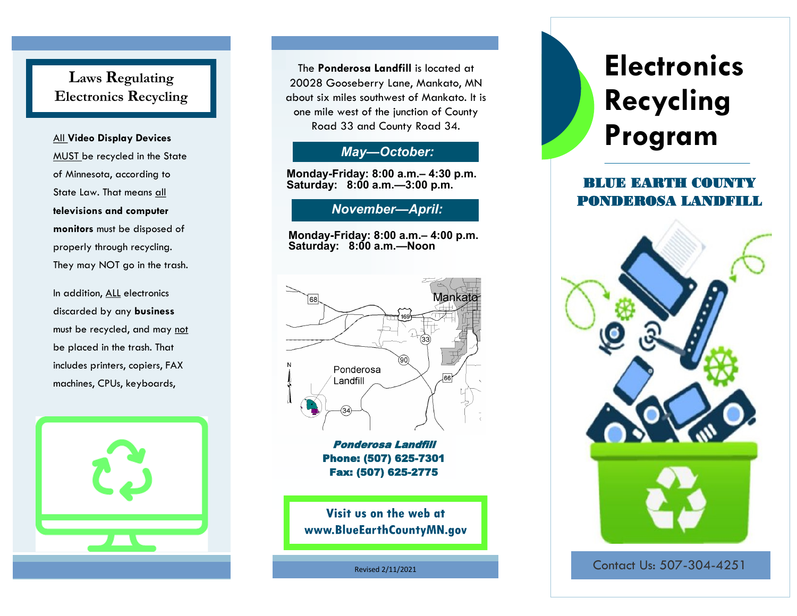# **Laws Regulating Electronics Recycling**

MUST be recycled in the State of Minnesota, according to State Law. That means all **televisions and computer monitors** must be disposed of properly through recycling. They may NOT go in the trash.

In addition, ALL electronics discarded by any **business**  must be recycled, and may not be placed in the trash. That includes printers, copiers, FAX machines, CPUs, keyboards,



The **Ponderosa Landfill** is located at 20028 Gooseberry Lane, Mankato, MN about six miles southwest of Mankato. It is one mile west of the junction of County Road 33 and County Road 34.

## *May—October:*

**Monday-Friday: 8:00 a.m.– 4:30 p.m. Saturday: 8:00 a.m.—3:00 p.m.**

## *November—April:*

**Monday-Friday: 8:00 a.m.– 4:00 p.m. Saturday: 8:00 a.m.—Noon**



Ponderosa Landfill Phone: (507) 625-7301 Fax: (507) 625-2775

Visit us on the web at www.BlueEarthCountyMN.gov

Revised 2/11/2021

# **Electronics Recycling**  All Video Display Devices **Road 33 and County Road 34.**<br>All Video Display Devices **Program**

# BLUE EARTH COUNTY PONDEROSA LANDFILL



Contact Us: 507-304-4251